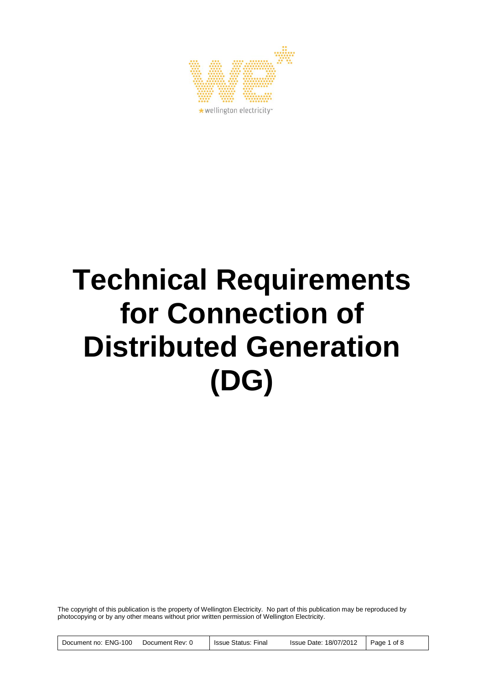

# **Technical Requirements for Connection of Distributed Generation (DG)**

The copyright of this publication is the property of Wellington Electricity. No part of this publication may be reproduced by photocopying or by any other means without prior written permission of Wellington Electricity.

Document no: ENG-100 Document Rev: 0 | Issue Status: Final Issue Date: 18/07/2012 | Page 1 of 8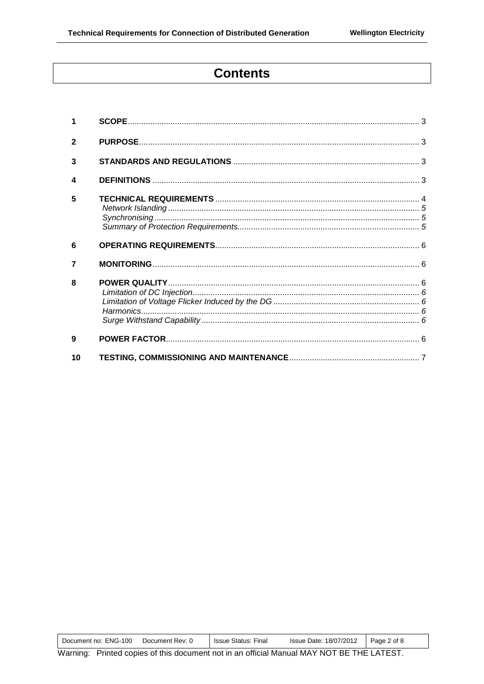# **Contents**

| $\overline{2}$ |  |
|----------------|--|
| 3              |  |
| 4              |  |
| 5              |  |
| 6              |  |
| 7              |  |
| 8              |  |
| 9              |  |
| 10             |  |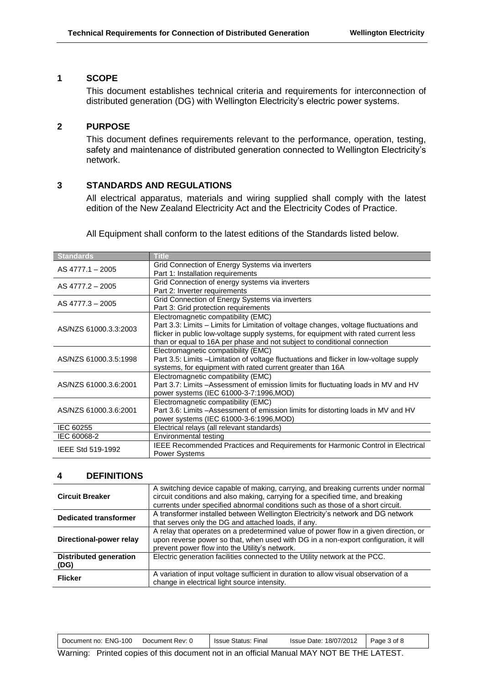# **1 SCOPE**

This document establishes technical criteria and requirements for interconnection of distributed generation (DG) with Wellington Electricity's electric power systems.

# **2 PURPOSE**

This document defines requirements relevant to the performance, operation, testing, safety and maintenance of distributed generation connected to Wellington Electricity's network.

# **3 STANDARDS AND REGULATIONS**

All electrical apparatus, materials and wiring supplied shall comply with the latest edition of the New Zealand Electricity Act and the Electricity Codes of Practice.

All Equipment shall conform to the latest editions of the Standards listed below.

| <b>Standards</b>      | <b>Title</b>                                                                                                                                                                                                                                                                                    |
|-----------------------|-------------------------------------------------------------------------------------------------------------------------------------------------------------------------------------------------------------------------------------------------------------------------------------------------|
| AS 4777.1 - 2005      | Grid Connection of Energy Systems via inverters<br>Part 1: Installation requirements                                                                                                                                                                                                            |
| AS 4777.2 - 2005      | Grid Connection of energy systems via inverters<br>Part 2: Inverter requirements                                                                                                                                                                                                                |
| AS 4777.3 - 2005      | Grid Connection of Energy Systems via inverters<br>Part 3: Grid protection requirements                                                                                                                                                                                                         |
| AS/NZS 61000.3.3:2003 | Electromagnetic compatibility (EMC)<br>Part 3.3: Limits - Limits for Limitation of voltage changes, voltage fluctuations and<br>flicker in public low-voltage supply systems, for equipment with rated current less<br>than or equal to 16A per phase and not subject to conditional connection |
| AS/NZS 61000.3.5:1998 | Electromagnetic compatibility (EMC)<br>Part 3.5: Limits – Limitation of voltage fluctuations and flicker in low-voltage supply<br>systems, for equipment with rated current greater than 16A                                                                                                    |
| AS/NZS 61000.3.6:2001 | Electromagnetic compatibility (EMC)<br>Part 3.7: Limits - Assessment of emission limits for fluctuating loads in MV and HV<br>power systems (IEC 61000-3-7:1996, MOD)                                                                                                                           |
| AS/NZS 61000.3.6:2001 | Electromagnetic compatibility (EMC)<br>Part 3.6: Limits - Assessment of emission limits for distorting loads in MV and HV<br>power systems (IEC 61000-3-6:1996, MOD)                                                                                                                            |
| IEC 60255             | Electrical relays (all relevant standards)                                                                                                                                                                                                                                                      |
| IEC 60068-2           | Environmental testing                                                                                                                                                                                                                                                                           |
| IEEE Std 519-1992     | IEEE Recommended Practices and Requirements for Harmonic Control in Electrical<br><b>Power Systems</b>                                                                                                                                                                                          |

#### **4 DEFINITIONS**

| <b>Circuit Breaker</b>                | A switching device capable of making, carrying, and breaking currents under normal<br>circuit conditions and also making, carrying for a specified time, and breaking<br>currents under specified abnormal conditions such as those of a short circuit. |
|---------------------------------------|---------------------------------------------------------------------------------------------------------------------------------------------------------------------------------------------------------------------------------------------------------|
| <b>Dedicated transformer</b>          | A transformer installed between Wellington Electricity's network and DG network<br>that serves only the DG and attached loads, if any.                                                                                                                  |
| Directional-power relay               | A relay that operates on a predetermined value of power flow in a given direction, or<br>upon reverse power so that, when used with DG in a non-export configuration, it will<br>prevent power flow into the Utility's network.                         |
| <b>Distributed generation</b><br>(DG) | Electric generation facilities connected to the Utility network at the PCC.                                                                                                                                                                             |
| <b>Flicker</b>                        | A variation of input voltage sufficient in duration to allow visual observation of a<br>change in electrical light source intensity.                                                                                                                    |

Warning: Printed copies of this document not in an official Manual MAY NOT BE THE LATEST.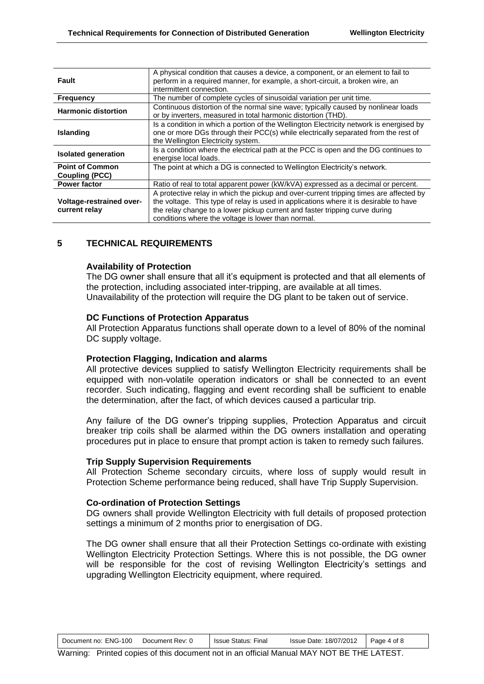| Fault                                           | A physical condition that causes a device, a component, or an element to fail to<br>perform in a required manner, for example, a short-circuit, a broken wire, an<br>intermittent connection.                                                                                                                        |
|-------------------------------------------------|----------------------------------------------------------------------------------------------------------------------------------------------------------------------------------------------------------------------------------------------------------------------------------------------------------------------|
| <b>Frequency</b>                                | The number of complete cycles of sinusoidal variation per unit time.                                                                                                                                                                                                                                                 |
| <b>Harmonic distortion</b>                      | Continuous distortion of the normal sine wave; typically caused by nonlinear loads<br>or by inverters, measured in total harmonic distortion (THD).                                                                                                                                                                  |
| <b>Islanding</b>                                | Is a condition in which a portion of the Wellington Electricity network is energised by<br>one or more DGs through their PCC(s) while electrically separated from the rest of<br>the Wellington Electricity system.                                                                                                  |
| <b>Isolated generation</b>                      | Is a condition where the electrical path at the PCC is open and the DG continues to<br>energise local loads.                                                                                                                                                                                                         |
| <b>Point of Common</b><br><b>Coupling (PCC)</b> | The point at which a DG is connected to Wellington Electricity's network.                                                                                                                                                                                                                                            |
| <b>Power factor</b>                             | Ratio of real to total apparent power (kW/kVA) expressed as a decimal or percent.                                                                                                                                                                                                                                    |
| Voltage-restrained over-<br>current relay       | A protective relay in which the pickup and over-current tripping times are affected by<br>the voltage. This type of relay is used in applications where it is desirable to have<br>the relay change to a lower pickup current and faster tripping curve during<br>conditions where the voltage is lower than normal. |

# **5 TECHNICAL REQUIREMENTS**

# **Availability of Protection**

The DG owner shall ensure that all it's equipment is protected and that all elements of the protection, including associated inter-tripping, are available at all times. Unavailability of the protection will require the DG plant to be taken out of service.

# **DC Functions of Protection Apparatus**

All Protection Apparatus functions shall operate down to a level of 80% of the nominal DC supply voltage.

#### **Protection Flagging, Indication and alarms**

All protective devices supplied to satisfy Wellington Electricity requirements shall be equipped with non-volatile operation indicators or shall be connected to an event recorder. Such indicating, flagging and event recording shall be sufficient to enable the determination, after the fact, of which devices caused a particular trip.

Any failure of the DG owner's tripping supplies, Protection Apparatus and circuit breaker trip coils shall be alarmed within the DG owners installation and operating procedures put in place to ensure that prompt action is taken to remedy such failures.

#### **Trip Supply Supervision Requirements**

All Protection Scheme secondary circuits, where loss of supply would result in Protection Scheme performance being reduced, shall have Trip Supply Supervision.

#### **Co-ordination of Protection Settings**

DG owners shall provide Wellington Electricity with full details of proposed protection settings a minimum of 2 months prior to energisation of DG.

The DG owner shall ensure that all their Protection Settings co-ordinate with existing Wellington Electricity Protection Settings. Where this is not possible, the DG owner will be responsible for the cost of revising Wellington Electricity's settings and upgrading Wellington Electricity equipment, where required.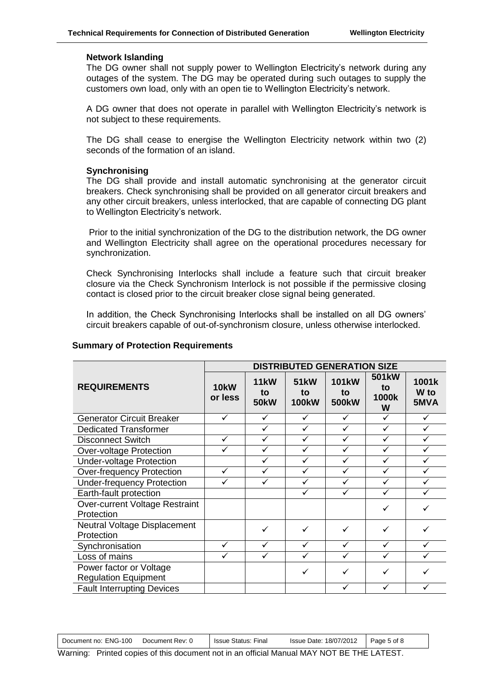#### **Network Islanding**

The DG owner shall not supply power to Wellington Electricity's network during any outages of the system. The DG may be operated during such outages to supply the customers own load, only with an open tie to Wellington Electricity's network.

A DG owner that does not operate in parallel with Wellington Electricity's network is not subject to these requirements.

The DG shall cease to energise the Wellington Electricity network within two (2) seconds of the formation of an island.

#### **Synchronising**

The DG shall provide and install automatic synchronising at the generator circuit breakers. Check synchronising shall be provided on all generator circuit breakers and any other circuit breakers, unless interlocked, that are capable of connecting DG plant to Wellington Electricity's network.

Prior to the initial synchronization of the DG to the distribution network, the DG owner and Wellington Electricity shall agree on the operational procedures necessary for synchronization.

Check Synchronising Interlocks shall include a feature such that circuit breaker closure via the Check Synchronism Interlock is not possible if the permissive closing contact is closed prior to the circuit breaker close signal being generated.

In addition, the Check Synchronising Interlocks shall be installed on all DG owners' circuit breakers capable of out-of-synchronism closure, unless otherwise interlocked.

|                                                        | <b>DISTRIBUTED GENERATION SIZE</b> |                                  |                                   |                                          |                                        |                                  |
|--------------------------------------------------------|------------------------------------|----------------------------------|-----------------------------------|------------------------------------------|----------------------------------------|----------------------------------|
| <b>REQUIREMENTS</b>                                    | <b>10kW</b><br>or less             | <b>11kW</b><br>to<br><b>50kW</b> | <b>51kW</b><br>to<br><b>100kW</b> | <b>101kW</b><br>to<br>500 <sub>k</sub> W | 501 <sub>k</sub> W<br>to<br>1000k<br>W | 1001k<br>W <sub>to</sub><br>5MVA |
| <b>Generator Circuit Breaker</b>                       | ✓                                  | ✓                                | ✓                                 | ✓                                        | $\checkmark$                           | ✓                                |
| <b>Dedicated Transformer</b>                           |                                    | ✓                                | ✓                                 | ✓                                        | ✓                                      | ✓                                |
| <b>Disconnect Switch</b>                               | ✓                                  | ✓                                | ✓                                 |                                          |                                        |                                  |
| Over-voltage Protection                                | ✓                                  | ✓                                | ✓                                 | ✓                                        | ✓                                      | ✓                                |
| <b>Under-voltage Protection</b>                        |                                    | ✓                                | ✓                                 | $\checkmark$                             | $\checkmark$                           | ✓                                |
| <b>Over-frequency Protection</b>                       | ✓                                  | ✓                                | ✓                                 |                                          |                                        |                                  |
| <b>Under-frequency Protection</b>                      | ✓                                  | ✓                                | ✓                                 | ✓                                        | ✓                                      | ✓                                |
| Earth-fault protection                                 |                                    |                                  | ✓                                 | ✓                                        | ✓                                      |                                  |
| Over-current Voltage Restraint<br>Protection           |                                    |                                  |                                   |                                          | ✓                                      |                                  |
| Neutral Voltage Displacement<br>Protection             |                                    | ✓                                | ✓                                 | ✓                                        | ✓                                      | ✓                                |
| Synchronisation                                        | ✓                                  | ✓                                | ✓                                 | ✓                                        | ✓                                      | ✓                                |
| Loss of mains                                          | ✓                                  | ✓                                | ✓                                 | ✓                                        | ✓                                      |                                  |
| Power factor or Voltage<br><b>Regulation Equipment</b> |                                    |                                  | ✓                                 | ✓                                        | ✓                                      |                                  |
| <b>Fault Interrupting Devices</b>                      |                                    |                                  |                                   |                                          |                                        |                                  |

#### **Summary of Protection Requirements**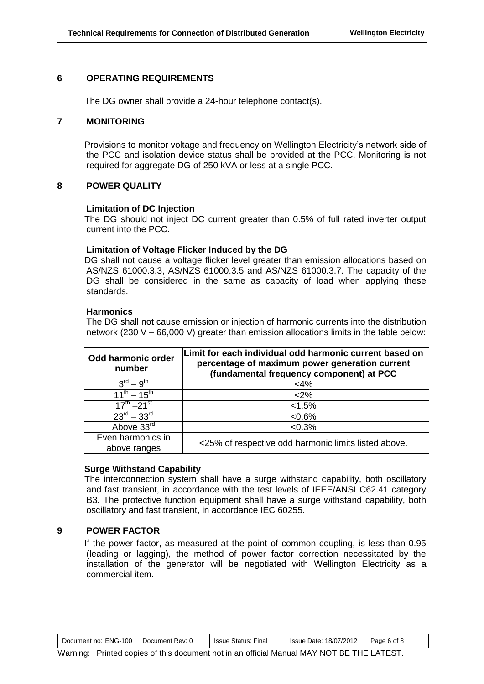# **6 OPERATING REQUIREMENTS**

The DG owner shall provide a 24-hour telephone contact(s).

#### **7 MONITORING**

Provisions to monitor voltage and frequency on Wellington Electricity's network side of the PCC and isolation device status shall be provided at the PCC. Monitoring is not required for aggregate DG of 250 kVA or less at a single PCC.

# **8 POWER QUALITY**

# **Limitation of DC Injection**

The DG should not inject DC current greater than 0.5% of full rated inverter output current into the PCC.

# **Limitation of Voltage Flicker Induced by the DG**

DG shall not cause a voltage flicker level greater than emission allocations based on AS/NZS 61000.3.3, AS/NZS 61000.3.5 and AS/NZS 61000.3.7. The capacity of the DG shall be considered in the same as capacity of load when applying these standards.

#### **Harmonics**

The DG shall not cause emission or injection of harmonic currents into the distribution network (230 V – 66,000 V) greater than emission allocations limits in the table below:

| Odd harmonic order<br>number      | Limit for each individual odd harmonic current based on<br>percentage of maximum power generation current<br>(fundamental frequency component) at PCC |
|-----------------------------------|-------------------------------------------------------------------------------------------------------------------------------------------------------|
| $3^{rd} - 9^{th}$                 | $<$ 4%                                                                                                                                                |
| $11^{th} - 15^{th}$               | $2\%$                                                                                                                                                 |
| $17^{th} - 21^{st}$               | < 1.5%                                                                                                                                                |
| $23^{\text{rd}} - 33^{\text{rd}}$ | < 0.6%                                                                                                                                                |
| Above 33rd                        | <0.3%                                                                                                                                                 |
| Even harmonics in<br>above ranges | <25% of respective odd harmonic limits listed above.                                                                                                  |

#### **Surge Withstand Capability**

The interconnection system shall have a surge withstand capability, both oscillatory and fast transient, in accordance with the test levels of IEEE/ANSI C62.41 category B3. The protective function equipment shall have a surge withstand capability, both oscillatory and fast transient, in accordance IEC 60255.

# **9 POWER FACTOR**

If the power factor, as measured at the point of common coupling, is less than 0.95 (leading or lagging), the method of power factor correction necessitated by the installation of the generator will be negotiated with Wellington Electricity as a commercial item.